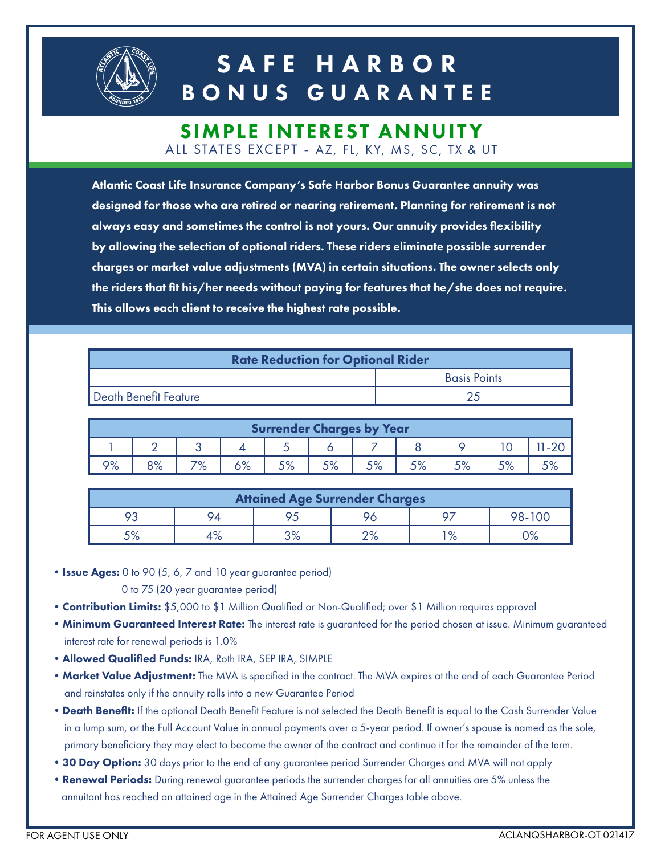

## SAFE HARBOR BONUS GUARANTEE

#### SIMPLE INTEREST ANNUITY ALL STATES EXCEPT - AZ, FL, KY, MS, SC, TX & UT

Atlantic Coast Life Insurance Company's Safe Harbor Bonus Guarantee annuity was designed for those who are retired or nearing retirement. Planning for retirement is not always easy and sometimes the control is not yours. Our annuity provides flexibility by allowing the selection of optional riders. These riders eliminate possible surrender charges or market value adjustments (MVA) in certain situations. The owner selects only the riders that fit his/her needs without paying for features that he/she does not require. This allows each client to receive the highest rate possible.

| <b>Rate Reduction for Optional Rider</b> |                     |  |  |  |  |
|------------------------------------------|---------------------|--|--|--|--|
|                                          | <b>Basis Points</b> |  |  |  |  |
| Death Benefit Feature                    | つち                  |  |  |  |  |

| <b>Surrender Charges by Year</b> |               |           |                |    |            |                 |     |                   |     |  |
|----------------------------------|---------------|-----------|----------------|----|------------|-----------------|-----|-------------------|-----|--|
|                                  |               |           |                |    |            |                 |     |                   |     |  |
| 9%                               | QO/<br>$O$ /o | 70/<br>/о | $\sqrt{\circ}$ | 5% | <b>EO/</b> | EQ<br>$\cup$ /o | EO, | E O/<br>$\cup$ /0 | 50/ |  |

| <b>Attained Age Surrender Charges</b> |                |            |              |      |        |  |  |  |
|---------------------------------------|----------------|------------|--------------|------|--------|--|--|--|
| О٩                                    |                |            |              | 07   | 98-100 |  |  |  |
| 5%                                    | $\sqrt{\circ}$ | ∕ס פ<br>70 | ∩0∕<br>Z 70. | 1 O/ | ం: /   |  |  |  |

• Issue Ages: 0 to 90 (5, 6, 7 and 10 year guarantee period)

0 to 75 (20 year guarantee period)

- Contribution Limits: \$5,000 to \$1 Million Qualified or Non-Qualified; over \$1 Million requires approval
- Minimum Guaranteed Interest Rate: The interest rate is guaranteed for the period chosen at issue. Minimum guaranteed interest rate for renewal periods is 1.0%
- •Allowed Qualified Funds: IRA, Roth IRA, SEP IRA, SIMPLE
- Market Value Adjustment: The MVA is specified in the contract. The MVA expires at the end of each Guarantee Period and reinstates only if the annuity rolls into a new Guarantee Period
- Death Benefit: If the optional Death Benefit Feature is not selected the Death Benefit is equal to the Cash Surrender Value in a lump sum, or the Full Account Value in annual payments over a 5-year period. If owner's spouse is named as the sole, primary beneficiary they may elect to become the owner of the contract and continue it for the remainder of the term.
- 30 Day Option: 30 days prior to the end of any guarantee period Surrender Charges and MVA will not apply
- Renewal Periods: During renewal guarantee periods the surrender charges for all annuities are 5% unless the annuitant has reached an attained age in the Attained Age Surrender Charges table above.